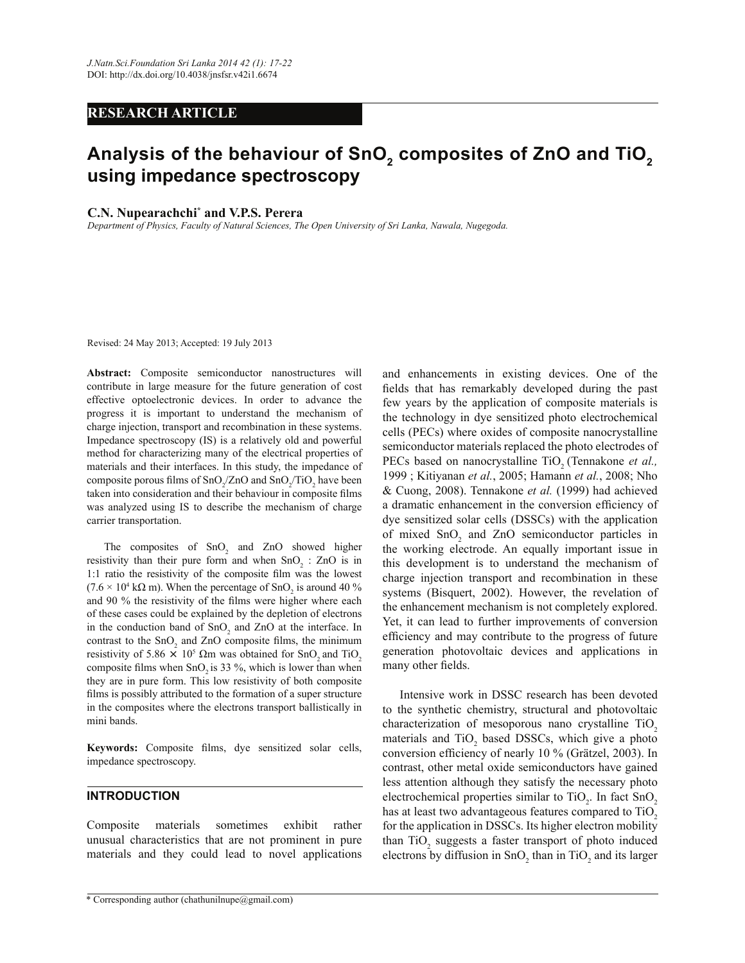# **RESEARCH ARTICLE**

# **Analysis of the behaviour of SnO<sup>2</sup> composites of ZnO and TiO<sup>2</sup> using impedance spectroscopy**

### **C.N. Nupearachchi\* and V.P.S. Perera**

*Department of Physics, Faculty of Natural Sciences, The Open University of Sri Lanka, Nawala, Nugegoda.*

Revised: 24 May 2013; Accepted: 19 July 2013

**Abstract:** Composite semiconductor nanostructures will contribute in large measure for the future generation of cost effective optoelectronic devices. In order to advance the progress it is important to understand the mechanism of charge injection, transport and recombination in these systems. Impedance spectroscopy (IS) is a relatively old and powerful method for characterizing many of the electrical properties of materials and their interfaces. In this study, the impedance of composite porous films of  $SnO_2/ZnO$  and  $SnO_2/TiO_2$  have been taken into consideration and their behaviour in composite films was analyzed using IS to describe the mechanism of charge carrier transportation.

The composites of  $SnO<sub>2</sub>$  and ZnO showed higher resistivity than their pure form and when  $SnO<sub>2</sub>$ : ZnO is in 1:1 ratio the resistivity of the composite film was the lowest  $(7.6 \times 10^4 \text{ k}\Omega \text{ m})$ . When the percentage of SnO<sub>2</sub> is around 40 % and 90 % the resistivity of the films were higher where each of these cases could be explained by the depletion of electrons in the conduction band of  $SnO<sub>2</sub>$  and  $ZnO$  at the interface. In contrast to the  $SnO<sub>2</sub>$  and ZnO composite films, the minimum resistivity of 5.86  $\times$  10<sup>5</sup>  $\Omega$ m was obtained for SnO<sub>2</sub> and TiO<sub>2</sub> composite films when  $SnO<sub>2</sub>$  is 33 %, which is lower than when they are in pure form. This low resistivity of both composite films is possibly attributed to the formation of a super structure in the composites where the electrons transport ballistically in mini bands.

**Keywords:** Composite films, dye sensitized solar cells, impedance spectroscopy.

# **INTRODUCTION**

Composite materials sometimes exhibit rather unusual characteristics that are not prominent in pure materials and they could lead to novel applications and enhancements in existing devices. One of the fields that has remarkably developed during the past few years by the application of composite materials is the technology in dye sensitized photo electrochemical cells (PECs) where oxides of composite nanocrystalline semiconductor materials replaced the photo electrodes of PECs based on nanocrystalline TiO<sub>2</sub> (Tennakone *et al.,* 1999 ; Kitiyanan *et al.*, 2005; Hamann *et al.*, 2008; Nho & Cuong, 2008). Tennakone *et al.* (1999) had achieved a dramatic enhancement in the conversion efficiency of dye sensitized solar cells (DSSCs) with the application of mixed  $SnO<sub>2</sub>$  and ZnO semiconductor particles in the working electrode. An equally important issue in this development is to understand the mechanism of charge injection transport and recombination in these systems (Bisquert, 2002). However, the revelation of the enhancement mechanism is not completely explored. Yet, it can lead to further improvements of conversion efficiency and may contribute to the progress of future generation photovoltaic devices and applications in many other fields.

 Intensive work in DSSC research has been devoted to the synthetic chemistry, structural and photovoltaic characterization of mesoporous nano crystalline TiO<sub>2</sub> materials and  $TiO<sub>2</sub>$  based DSSCs, which give a photo conversion efficiency of nearly 10 % (Grätzel, 2003). In contrast, other metal oxide semiconductors have gained less attention although they satisfy the necessary photo electrochemical properties similar to  $TiO_2$ . In fact  $SnO_2$ has at least two advantageous features compared to TiO<sub>2</sub> for the application in DSSCs. Its higher electron mobility than  $TiO<sub>2</sub>$  suggests a faster transport of photo induced electrons by diffusion in  $SnO<sub>2</sub>$  than in TiO<sub>2</sub> and its larger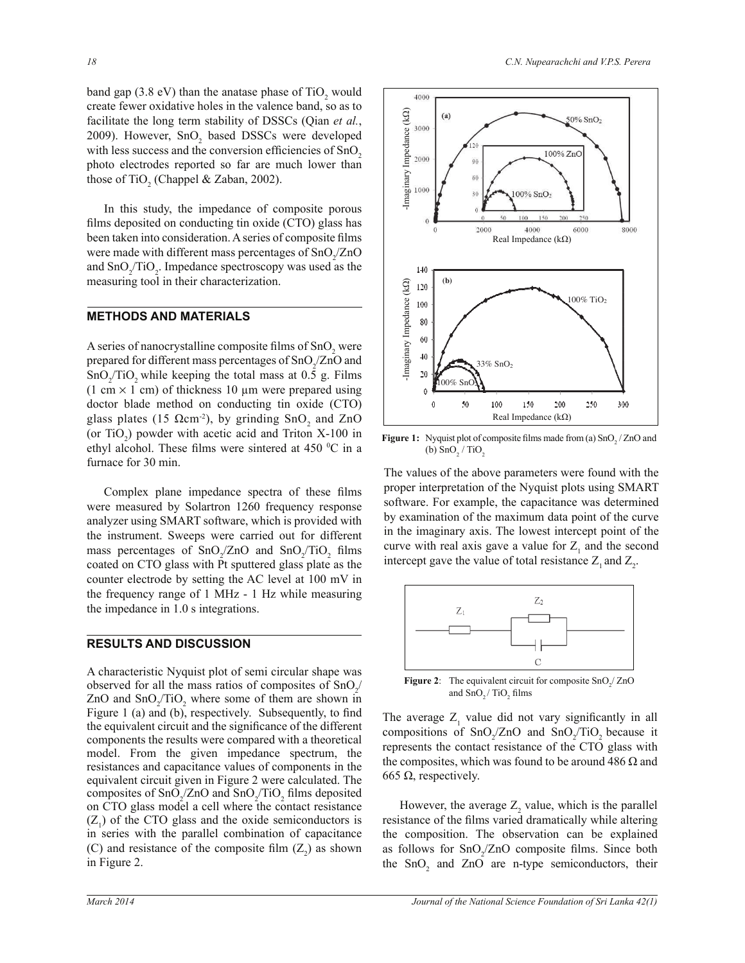band gap  $(3.8 \text{ eV})$  than the anatase phase of  $TiO<sub>2</sub>$  would create fewer oxidative holes in the valence band, so as to facilitate the long term stability of DSSCs (Qian *et al.*, 2009). However,  $SnO<sub>2</sub>$  based DSSCs were developed with less success and the conversion efficiencies of  $SnO<sub>2</sub>$ photo electrodes reported so far are much lower than those of TiO<sub>2</sub> (Chappel & Zaban, 2002).

 In this study, the impedance of composite porous films deposited on conducting tin oxide (CTO) glass has been taken into consideration. A series of composite films were made with different mass percentages of  $\text{SnO}_{2}/\text{ZnO}$ and  $\text{SnO}_2/\text{TiO}_2$ . Impedance spectroscopy was used as the measuring tool in their characterization.

# **METHODS AND MATERIALS**

A series of nanocrystalline composite films of  $SnO_2$  were prepared for different mass percentages of  $\text{SnO}_{2}/\text{ZnO}$  and  $SnO_2/TiO_2$  while keeping the total mass at 0.5 g. Films  $(1 \text{ cm} \times 1 \text{ cm})$  of thickness 10 µm were prepared using doctor blade method on conducting tin oxide (CTO) glass plates (15  $\Omega$ cm<sup>-2</sup>), by grinding SnO<sub>2</sub> and ZnO (or  $TiO<sub>2</sub>$ ) powder with acetic acid and Triton X-100 in ethyl alcohol. These films were sintered at 450  $\rm{^0C}$  in a furnace for 30 min.

 Complex plane impedance spectra of these films were measured by Solartron 1260 frequency response analyzer using SMART software, which is provided with the instrument. Sweeps were carried out for different mass percentages of  $\text{SnO}_{2}/\text{ZnO}$  and  $\text{SnO}_{2}/\text{TiO}_{2}$  films coated on CTO glass with Pt sputtered glass plate as the counter electrode by setting the AC level at 100 mV in the frequency range of 1 MHz - 1 Hz while measuring the impedance in 1.0 s integrations.

# **RESULTS AND DISCUSSION**

A characteristic Nyquist plot of semi circular shape was observed for all the mass ratios of composites of  $SnO_2$ / ZnO and  $\text{SnO}_2/\text{TiO}_2$  where some of them are shown in Figure 1 (a) and (b), respectively. Subsequently, to find the equivalent circuit and the significance of the different components the results were compared with a theoretical model. From the given impedance spectrum, the resistances and capacitance values of components in the equivalent circuit given in Figure 2 were calculated. The composites of  $SnO_2/ZnO$  and  $SnO_2/TiO_2$  films deposited on CTO glass model a cell where the contact resistance  $(Z_1)$  of the CTO glass and the oxide semiconductors is in series with the parallel combination of capacitance (C) and resistance of the composite film  $(Z_2)$  as shown in Figure 2.

4000



**Figure 1:** Nyquist plot of composite films made from (a)  $\text{SnO}_2$  / ZnO and (b)  $\text{SnO}_2 / \text{TiO}_2$ 

The values of the above parameters were found with the proper interpretation of the Nyquist plots using SMART software. For example, the capacitance was determined by examination of the maximum data point of the curve in the imaginary axis. The lowest intercept point of the curve with real axis gave a value for  $Z_1$  and the second intercept gave the value of total resistance  $Z_1$  and  $Z_2$ .



**Figure 2**: The equivalent circuit for composite  $\text{SnO}_2/\text{ZnO}$ and  $\text{SnO}_2 / \text{TiO}_2$  films

The average  $Z_1$  value did not vary significantly in all compositions of  $\text{SnO}_2/\text{ZnO}$  and  $\text{SnO}_2/\text{TiO}_2$  because it represents the contact resistance of the CTO glass with the composites, which was found to be around 486  $\Omega$  and 665  $Ω$ , respectively.

However, the average  $Z_2$  value, which is the parallel resistance of the films varied dramatically while altering the composition. The observation can be explained as follows for  $SnO_2/ZnO$  composite films. Since both the  $SnO<sub>2</sub>$  and  $ZnO$  are n-type semiconductors, their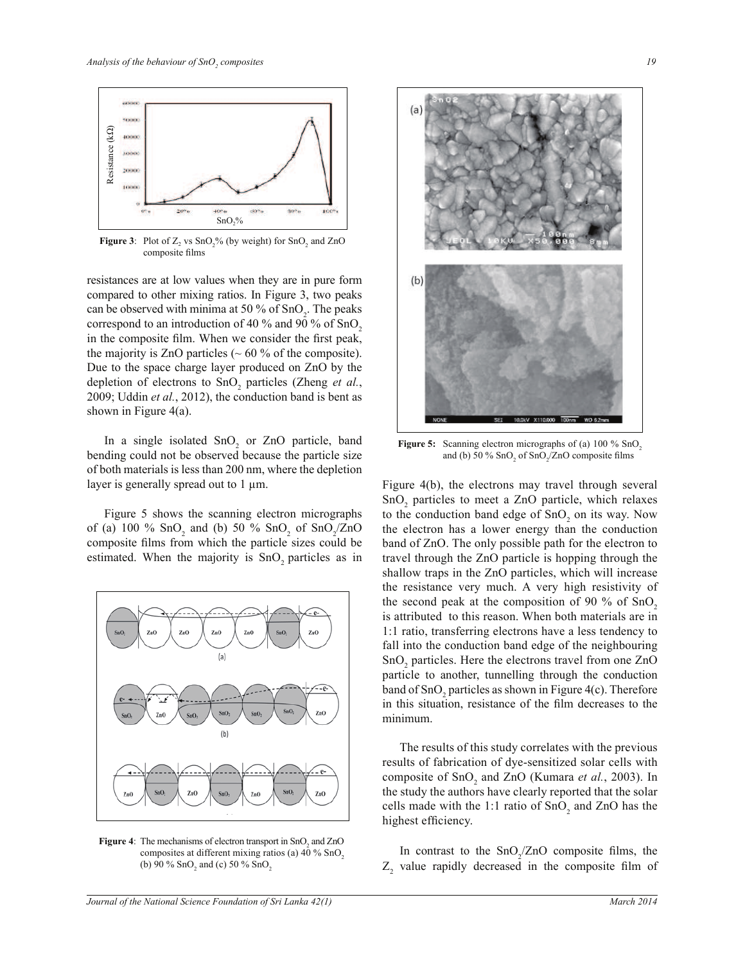

**Figure 3**: Plot of  $Z_2$  vs SnO<sub>2</sub>% (by weight) for SnO<sub>2</sub> and ZnO composite films

resistances are at low values when they are in pure form compared to other mixing ratios. In Figure 3, two peaks can be observed with minima at 50 % of  $SnO<sub>2</sub>$ . The peaks correspond to an introduction of 40  $\%$  and 90  $\%$  of SnO<sub>2</sub>. in the composite film. When we consider the first peak, the majority is ZnO particles ( $\sim 60$  % of the composite). Due to the space charge layer produced on ZnO by the depletion of electrons to  $SnO<sub>2</sub>$  particles (Zheng *et al.*, 2009; Uddin *et al.*, 2012), the conduction band is bent as shown in Figure 4(a).

In a single isolated  $SnO<sub>2</sub>$  or ZnO particle, band bending could not be observed because the particle size of both materials is less than 200 nm, where the depletion layer is generally spread out to 1  $\mu$ m.

 Figure 5 shows the scanning electron micrographs of (a) 100 %  $\text{SnO}_2$  and (b) 50 %  $\text{SnO}_2$  of  $\text{SnO}_2/\text{ZnO}$ composite films from which the particle sizes could be estimated. When the majority is SnO<sub>2</sub> particles as in



**Figure 4:** The mechanisms of electron transport in  $SnO<sub>2</sub>$  and  $ZnO$ composites at different mixing ratios (a)  $40\%$  SnO<sub>2</sub> (b) 90 %  $\text{SnO}_2$  and (c) 50 %  $\text{SnO}_2$ 



**Figure 5:** Scanning electron micrographs of (a) 100 % SnO<sub>2</sub> and (b) 50 %  $SnO<sub>2</sub>$  of  $SnO<sub>2</sub>/ZnO$  composite films

Figure 4(b), the electrons may travel through several  $SnO<sub>2</sub>$  particles to meet a ZnO particle, which relaxes to the conduction band edge of  $SnO<sub>2</sub>$  on its way. Now the electron has a lower energy than the conduction band of ZnO. The only possible path for the electron to travel through the ZnO particle is hopping through the shallow traps in the ZnO particles, which will increase the resistance very much. A very high resistivity of the second peak at the composition of 90 % of  $SnO<sub>2</sub>$ is attributed to this reason. When both materials are in 1:1 ratio, transferring electrons have a less tendency to fall into the conduction band edge of the neighbouring SnO<sub>2</sub> particles. Here the electrons travel from one ZnO particle to another, tunnelling through the conduction band of  $SnO<sub>2</sub>$  particles as shown in Figure 4(c). Therefore in this situation, resistance of the film decreases to the minimum.

 The results of this study correlates with the previous results of fabrication of dye-sensitized solar cells with composite of SnO<sub>2</sub> and ZnO (Kumara *et al.*, 2003). In the study the authors have clearly reported that the solar cells made with the 1:1 ratio of  $SnO<sub>2</sub>$  and ZnO has the highest efficiency.

In contrast to the  $SnO_2/ZnO$  composite films, the  $Z_2$  value rapidly decreased in the composite film of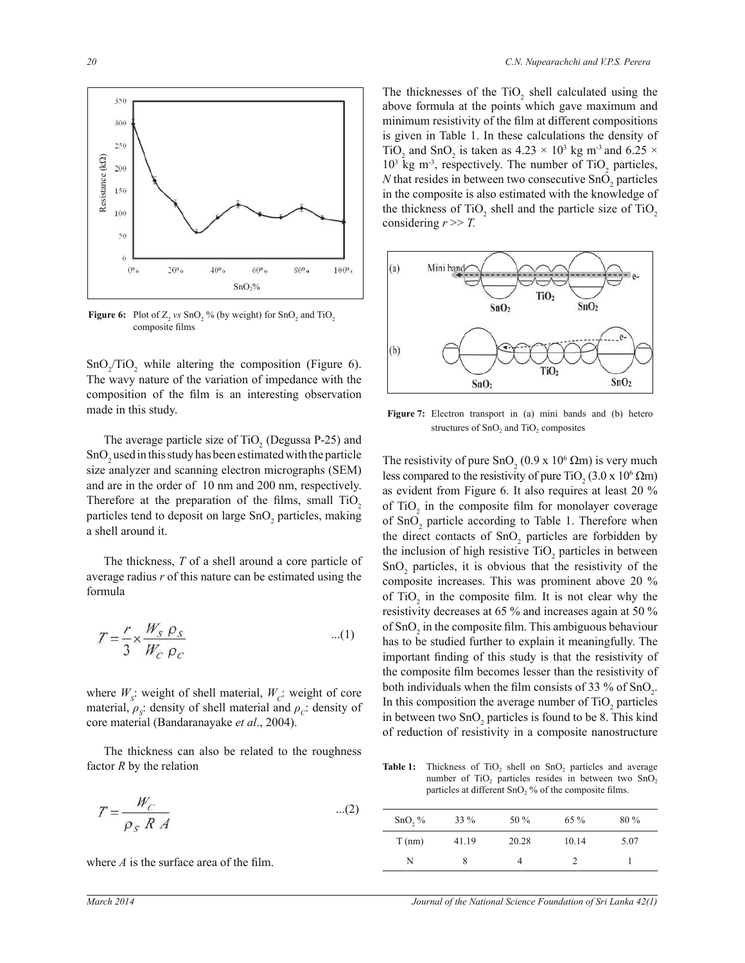

**Figure 6:** Plot of  $Z_2$  *vs* SnO<sub>2</sub> % (by weight) for SnO<sub>2</sub> and TiO<sub>2</sub> composite films

 $SnO_2/TiO_2$  while altering the composition (Figure 6). The wavy nature of the variation of impedance with the composition of the film is an interesting observation made in this study.

The average particle size of  $TiO<sub>2</sub>$  (Degussa P-25) and  $SnO<sub>2</sub>$  used in this study has been estimated with the particle size analyzer and scanning electron micrographs (SEM) and are in the order of 10 nm and 200 nm, respectively. Therefore at the preparation of the films, small TiO<sub>2</sub> particles tend to deposit on large SnO<sub>2</sub> particles, making a shell around it.

The thickness, *T* of a shell around a core particle of average radius *r* of this nature can be estimated using the formula

$$
T = \frac{r}{3} \times \frac{W_S \rho_S}{W_C \rho_C} \tag{1}
$$

where  $W_s$ : weight of shell material,  $W_c$ : weight of core material,  $\rho_s$ : density of shell material and  $\rho_c$ : density of core material (Bandaranayake *et al*., 2004).

 The thickness can also be related to the roughness factor *R* by the relation

$$
T = \frac{W_C}{\rho_s R A} \tag{2}
$$

where *A* is the surface area of the film.

The thicknesses of the  $TiO<sub>2</sub>$  shell calculated using the above formula at the points which gave maximum and minimum resistivity of the film at different compositions is given in Table 1. In these calculations the density of TiO<sub>2</sub> and SnO<sub>2</sub> is taken as  $4.23 \times 10^3$  kg m<sup>-3</sup> and  $6.25 \times$  $10<sup>3</sup>$  kg m<sup>-3</sup>, respectively. The number of TiO<sub>2</sub> particles,  *that resides in between two consecutive*  $SnO<sub>2</sub>$  *particles* in the composite is also estimated with the knowledge of the thickness of  $TiO<sub>2</sub>$  shell and the particle size of  $TiO<sub>2</sub>$ considering  $r \gg T$ .



**Figure 7:** Electron transport in (a) mini bands and (b) hetero structures of  $SnO<sub>2</sub>$  and  $TiO<sub>2</sub>$  composites

The resistivity of pure  $\text{SnO}_2(0.9 \text{ x } 10^6 \Omega \text{m})$  is very much less compared to the resistivity of pure TiO<sub>2</sub> (3.0 x 10<sup>6</sup>  $\Omega$ m) as evident from Figure 6. It also requires at least 20 % of  $TiO<sub>2</sub>$  in the composite film for monolayer coverage of  $\text{SnO}_2$  particle according to Table 1. Therefore when the direct contacts of  $SnO<sub>2</sub>$  particles are forbidden by the inclusion of high resistive  $TiO_2$  particles in between  $SnO<sub>2</sub>$  particles, it is obvious that the resistivity of the composite increases. This was prominent above 20 % of  $TiO<sub>2</sub>$  in the composite film. It is not clear why the resistivity decreases at 65 % and increases again at 50 % of  $SnO<sub>2</sub>$  in the composite film. This ambiguous behaviour has to be studied further to explain it meaningfully. The important finding of this study is that the resistivity of the composite film becomes lesser than the resistivity of both individuals when the film consists of 33 % of  $SnO<sub>2</sub>$ . In this composition the average number of  $TiO<sub>2</sub>$  particles in between two  $SnO<sub>2</sub>$  particles is found to be 8. This kind of reduction of resistivity in a composite nanostructure

**Table 1:** Thickness of  $TiO<sub>2</sub>$  shell on  $SnO<sub>2</sub>$  particles and average number of  $TiO<sub>2</sub>$  particles resides in between two  $SnO<sub>2</sub>$ particles at different  $SnO<sub>2</sub>$ % of the composite films.

| $SnO, \%$ | $33\%$ | 50 %  | 65 %  | $80\%$ |
|-----------|--------|-------|-------|--------|
| $T$ (nm)  | 41.19  | 20.28 | 10.14 | 5.07   |
| N         |        | 4     |       |        |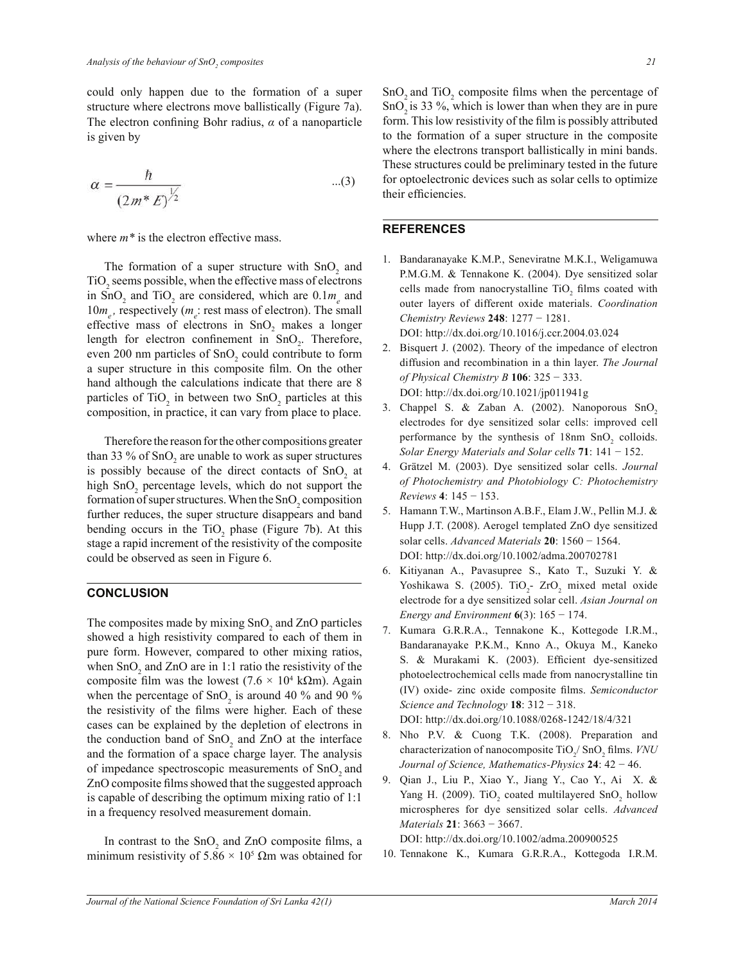could only happen due to the formation of a super structure where electrons move ballistically (Figure 7a). The electron confining Bohr radius, *α* of a nanoparticle is given by

$$
\alpha = \frac{\hbar}{\left(2m^* E\right)^{\frac{1}{2}}} \tag{3}
$$

where  $m^*$  is the electron effective mass.

The formation of a super structure with  $SnO<sub>2</sub>$  and TiO<sub>2</sub> seems possible, when the effective mass of electrons in SnO<sub>2</sub> and TiO<sub>2</sub> are considered, which are  $0.1m_e$  and  $10m_e$ , respectively ( $m_e$ ) rest mass of electron). The small effective mass of electrons in  $SnO<sub>2</sub>$  makes a longer length for electron confinement in  $SnO<sub>2</sub>$ . Therefore, even 200 nm particles of  $SnO<sub>2</sub>$  could contribute to form a super structure in this composite film. On the other hand although the calculations indicate that there are 8 particles of  $TiO<sub>2</sub>$  in between two  $SnO<sub>2</sub>$  particles at this composition, in practice, it can vary from place to place.

 Therefore the reason for the other compositions greater than 33 % of  $SnO<sub>2</sub>$  are unable to work as super structures is possibly because of the direct contacts of  $SnO<sub>2</sub>$  at high  $SnO<sub>2</sub>$  percentage levels, which do not support the formation of super structures. When the  $SnO<sub>2</sub>$  composition further reduces, the super structure disappears and band bending occurs in the  $TiO<sub>2</sub>$  phase (Figure 7b). At this stage a rapid increment of the resistivity of the composite could be observed as seen in Figure 6.

#### **CONCLUSION**

The composites made by mixing  $SnO<sub>2</sub>$  and ZnO particles showed a high resistivity compared to each of them in pure form. However, compared to other mixing ratios, when  $SnO<sub>2</sub>$  and ZnO are in 1:1 ratio the resistivity of the composite film was the lowest  $(7.6 \times 10^4 \text{ k}\Omega \text{m})$ . Again when the percentage of  $SnO<sub>2</sub>$  is around 40 % and 90 % the resistivity of the films were higher. Each of these cases can be explained by the depletion of electrons in the conduction band of  $SnO<sub>2</sub>$  and ZnO at the interface and the formation of a space charge layer. The analysis of impedance spectroscopic measurements of SnO<sub>2</sub> and ZnO composite films showed that the suggested approach is capable of describing the optimum mixing ratio of 1:1 in a frequency resolved measurement domain.

In contrast to the  $SnO<sub>2</sub>$  and ZnO composite films, a minimum resistivity of  $5.86 \times 10^5$   $\Omega$ m was obtained for

 $\text{SnO}_2$  and  $\text{TiO}_2$  composite films when the percentage of  $SnO<sub>2</sub>$  is 33 %, which is lower than when they are in pure form. This low resistivity of the film is possibly attributed to the formation of a super structure in the composite where the electrons transport ballistically in mini bands. These structures could be preliminary tested in the future for optoelectronic devices such as solar cells to optimize their efficiencies.

### **REFERENCES**

- 1. Bandaranayake K.M.P., Seneviratne M.K.I., Weligamuwa P.M.G.M. & Tennakone K. (2004). Dye sensitized solar cells made from nanocrystalline  $TiO<sub>2</sub>$  films coated with outer layers of different oxide materials. *Coordination Chemistry Reviews* **248**: 1277 − 1281. DOI: http://dx.doi.org/10.1016/j.ccr.2004.03.024
- 2. Bisquert J. (2002). Theory of the impedance of electron diffusion and recombination in a thin layer. *The Journal of Physical Chemistry B* **106**: 325 − 333. DOI: http://dx.doi.org/10.1021/jp011941g
- 3. Chappel S. & Zaban A. (2002). Nanoporous  $SnO<sub>2</sub>$ electrodes for dye sensitized solar cells: improved cell performance by the synthesis of  $18 \text{nm}$  SnO<sub>2</sub> colloids. *Solar Energy Materials and Solar cells* **71**: 141 − 152.
- 4. Grätzel M. (2003). Dye sensitized solar cells. *Journal of Photochemistry and Photobiology C: Photochemistry Reviews* **4**: 145 − 153.
- 5. Hamann T.W., Martinson A.B.F., Elam J.W., Pellin M.J. & Hupp J.T. (2008). Aerogel templated ZnO dye sensitized solar cells. *Advanced Materials* **20**: 1560 − 1564. DOI: http://dx.doi.org/10.1002/adma.200702781
- 6. Kitiyanan A., Pavasupree S., Kato T., Suzuki Y. & Yoshikawa S. (2005).  $TiO<sub>2</sub>$ -  $ZrO<sub>2</sub>$  mixed metal oxide electrode for a dye sensitized solar cell. *Asian Journal on Energy and Environment* **6**(3): 165 − 174.
- 7. Kumara G.R.R.A., Tennakone K., Kottegode I.R.M., Bandaranayake P.K.M., Knno A., Okuya M., Kaneko S. & Murakami K. (2003). Efficient dye-sensitized photoelectrochemical cells made from nanocrystalline tin (IV) oxide- zinc oxide composite films. *Semiconductor Science and Technology* **18**: 312 − 318. DOI: http://dx.doi.org/10.1088/0268-1242/18/4/321
- 8. Nho P.V. & Cuong T.K. (2008). Preparation and characterization of nanocomposite TiO<sub>2</sub>/ SnO<sub>2</sub> films. *VNU Journal of Science, Mathematics-Physics* **24**: 42 − 46.
- 9. Qian J., Liu P., Xiao Y., Jiang Y., Cao Y., Ai X. & Yang H. (2009). TiO<sub>2</sub> coated multilayered  $SnO<sub>2</sub>$  hollow microspheres for dye sensitized solar cells. *Advanced Materials* **21**: 3663 − 3667.

DOI: http://dx.doi.org/10.1002/adma.200900525

10. Tennakone K., Kumara G.R.R.A., Kottegoda I.R.M.